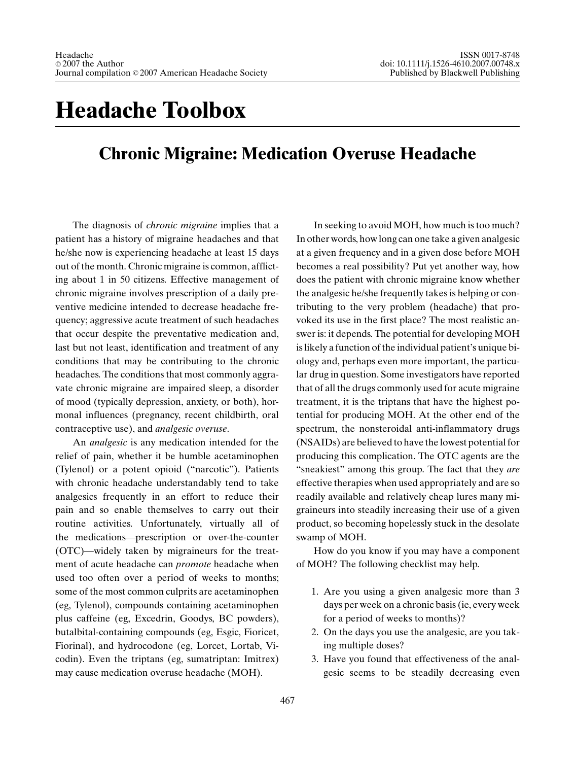## **Headache Toolbox**

## **Chronic Migraine: Medication Overuse Headache**

The diagnosis of *chronic migraine* implies that a patient has a history of migraine headaches and that he/she now is experiencing headache at least 15 days out of the month. Chronic migraine is common, afflicting about 1 in 50 citizens. Effective management of chronic migraine involves prescription of a daily preventive medicine intended to decrease headache frequency; aggressive acute treatment of such headaches that occur despite the preventative medication and, last but not least, identification and treatment of any conditions that may be contributing to the chronic headaches. The conditions that most commonly aggravate chronic migraine are impaired sleep, a disorder of mood (typically depression, anxiety, or both), hormonal influences (pregnancy, recent childbirth, oral contraceptive use), and *analgesic overuse*.

An *analgesic* is any medication intended for the relief of pain, whether it be humble acetaminophen (Tylenol) or a potent opioid ("narcotic"). Patients with chronic headache understandably tend to take analgesics frequently in an effort to reduce their pain and so enable themselves to carry out their routine activities. Unfortunately, virtually all of the medications—prescription or over-the-counter (OTC)—widely taken by migraineurs for the treatment of acute headache can *promote* headache when used too often over a period of weeks to months; some of the most common culprits are acetaminophen (eg, Tylenol), compounds containing acetaminophen plus caffeine (eg, Excedrin, Goodys, BC powders), butalbital-containing compounds (eg, Esgic, Fioricet, Fiorinal), and hydrocodone (eg, Lorcet, Lortab, Vicodin). Even the triptans (eg, sumatriptan: Imitrex) may cause medication overuse headache (MOH).

In seeking to avoid MOH, how much is too much? In other words, how long can one take a given analgesic at a given frequency and in a given dose before MOH becomes a real possibility? Put yet another way, how does the patient with chronic migraine know whether the analgesic he/she frequently takes is helping or contributing to the very problem (headache) that provoked its use in the first place? The most realistic answer is: it depends. The potential for developing MOH is likely a function of the individual patient's unique biology and, perhaps even more important, the particular drug in question. Some investigators have reported that of all the drugs commonly used for acute migraine treatment, it is the triptans that have the highest potential for producing MOH. At the other end of the spectrum, the nonsteroidal anti-inflammatory drugs (NSAIDs) are believed to have the lowest potential for producing this complication. The OTC agents are the "sneakiest" among this group. The fact that they *are* effective therapies when used appropriately and are so readily available and relatively cheap lures many migraineurs into steadily increasing their use of a given product, so becoming hopelessly stuck in the desolate swamp of MOH.

How do you know if you may have a component of MOH? The following checklist may help.

- 1. Are you using a given analgesic more than 3 days per week on a chronic basis (ie, every week for a period of weeks to months)?
- 2. On the days you use the analgesic, are you taking multiple doses?
- 3. Have you found that effectiveness of the analgesic seems to be steadily decreasing even